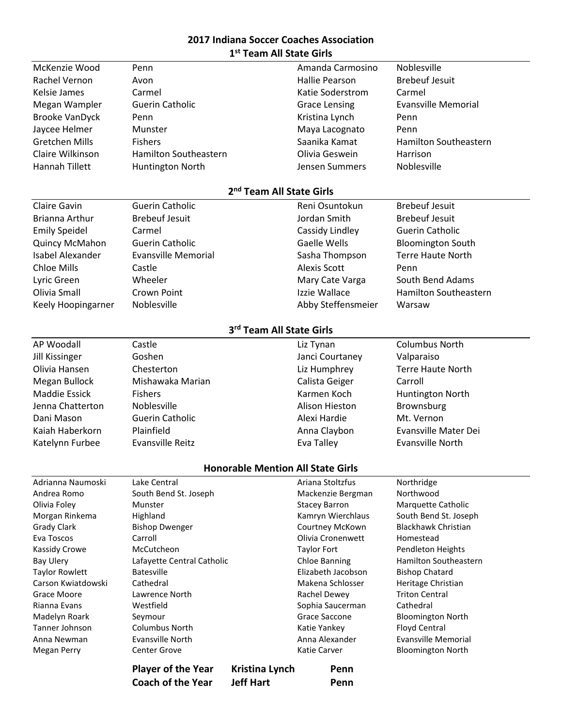## **2017 Indiana Soccer Coaches Association 1 st Team All State Girls**

|                                          | <b>Coach of the Year</b>     | <b>Jeff Hart</b>                     | Penn                              |                                    |  |  |  |  |
|------------------------------------------|------------------------------|--------------------------------------|-----------------------------------|------------------------------------|--|--|--|--|
|                                          | <b>Player of the Year</b>    | Kristina Lynch                       | Penn                              |                                    |  |  |  |  |
| <b>Megan Perry</b>                       | <b>Center Grove</b>          |                                      | Katie Carver                      | <b>Bloomington North</b>           |  |  |  |  |
| Anna Newman                              | <b>Evansville North</b>      |                                      | Anna Alexander                    | <b>Evansville Memorial</b>         |  |  |  |  |
| Tanner Johnson                           | Columbus North               |                                      | Katie Yankey                      | Floyd Central                      |  |  |  |  |
| Madelyn Roark                            | Seymour                      |                                      | Sophia Saucerman<br>Grace Saccone | <b>Bloomington North</b>           |  |  |  |  |
| Grace Moore<br>Rianna Evans              | Lawrence North<br>Westfield  |                                      | Rachel Dewey                      | <b>Triton Central</b><br>Cathedral |  |  |  |  |
| Carson Kwiatdowski                       | Cathedral                    |                                      | Makena Schlosser                  | Heritage Christian                 |  |  |  |  |
| <b>Taylor Rowlett</b>                    | <b>Batesville</b>            |                                      | Elizabeth Jacobson                | <b>Bishop Chatard</b>              |  |  |  |  |
| <b>Bay Ulery</b>                         | Lafayette Central Catholic   |                                      | <b>Chloe Banning</b>              | Hamilton Southeastern              |  |  |  |  |
| Kassidy Crowe                            | McCutcheon                   |                                      | <b>Taylor Fort</b>                | <b>Pendleton Heights</b>           |  |  |  |  |
| Eva Toscos                               | Carroll                      |                                      | Olivia Cronenwett                 | Homestead                          |  |  |  |  |
| <b>Grady Clark</b>                       | <b>Bishop Dwenger</b>        |                                      | Courtney McKown                   | <b>Blackhawk Christian</b>         |  |  |  |  |
| Morgan Rinkema                           | Highland                     |                                      | Kamryn Wierchlaus                 | South Bend St. Joseph              |  |  |  |  |
| Olivia Foley                             | Munster                      |                                      | <b>Stacey Barron</b>              | Marquette Catholic                 |  |  |  |  |
| Andrea Romo                              | South Bend St. Joseph        |                                      | Mackenzie Bergman                 | Northwood                          |  |  |  |  |
| Adrianna Naumoski                        | Lake Central                 |                                      | Ariana Stoltzfus                  | Northridge                         |  |  |  |  |
| <b>Honorable Mention All State Girls</b> |                              |                                      |                                   |                                    |  |  |  |  |
| Katelynn Furbee                          | Evansville Reitz             |                                      | Eva Talley                        | <b>Evansville North</b>            |  |  |  |  |
| Kaiah Haberkorn                          | Plainfield                   |                                      | Anna Claybon                      | Evansville Mater Dei               |  |  |  |  |
| Dani Mason                               | <b>Guerin Catholic</b>       |                                      | Alexi Hardie                      | Mt. Vernon                         |  |  |  |  |
| Jenna Chatterton                         | Noblesville                  |                                      | Alison Hieston                    | Brownsburg                         |  |  |  |  |
| <b>Maddie Essick</b>                     | <b>Fishers</b>               |                                      | Karmen Koch                       | Huntington North                   |  |  |  |  |
| Megan Bullock                            | Mishawaka Marian             |                                      | Calista Geiger                    | Carroll                            |  |  |  |  |
| Olivia Hansen                            | Chesterton                   |                                      | Liz Humphrey                      | <b>Terre Haute North</b>           |  |  |  |  |
| <b>Jill Kissinger</b>                    | Goshen                       |                                      | Janci Courtaney                   | Valparaiso                         |  |  |  |  |
| AP Woodall                               | Castle                       |                                      | Liz Tynan                         | <b>Columbus North</b>              |  |  |  |  |
| 3rd Team All State Girls                 |                              |                                      |                                   |                                    |  |  |  |  |
|                                          |                              |                                      |                                   |                                    |  |  |  |  |
| Keely Hoopingarner                       | Noblesville                  |                                      | Abby Steffensmeier                | Warsaw                             |  |  |  |  |
| Olivia Small                             | Crown Point                  |                                      | Izzie Wallace                     | <b>Hamilton Southeastern</b>       |  |  |  |  |
| Lyric Green                              | Wheeler                      |                                      | Mary Cate Varga                   | South Bend Adams                   |  |  |  |  |
| <b>Chloe Mills</b>                       | Castle                       |                                      | <b>Alexis Scott</b>               | Penn                               |  |  |  |  |
| Isabel Alexander                         | <b>Evansville Memorial</b>   |                                      | Sasha Thompson                    | <b>Terre Haute North</b>           |  |  |  |  |
| Quincy McMahon                           | <b>Guerin Catholic</b>       |                                      | <b>Gaelle Wells</b>               | <b>Bloomington South</b>           |  |  |  |  |
| <b>Emily Speidel</b>                     | Carmel                       |                                      | Cassidy Lindley                   | <b>Guerin Catholic</b>             |  |  |  |  |
| Brianna Arthur                           | <b>Brebeuf Jesuit</b>        |                                      | Jordan Smith                      | <b>Brebeuf Jesuit</b>              |  |  |  |  |
| <b>Claire Gavin</b>                      | <b>Guerin Catholic</b>       |                                      | Reni Osuntokun                    | <b>Brebeuf Jesuit</b>              |  |  |  |  |
|                                          |                              | 2 <sup>nd</sup> Team All State Girls |                                   |                                    |  |  |  |  |
|                                          |                              |                                      |                                   |                                    |  |  |  |  |
| <b>Hannah Tillett</b>                    | Huntington North             |                                      | Jensen Summers                    | Noblesville                        |  |  |  |  |
| Claire Wilkinson                         | <b>Hamilton Southeastern</b> |                                      | Olivia Geswein                    | Harrison                           |  |  |  |  |
| <b>Gretchen Mills</b>                    | <b>Fishers</b>               |                                      | Saanika Kamat                     | <b>Hamilton Southeastern</b>       |  |  |  |  |
| Jaycee Helmer                            | Munster                      |                                      | Maya Lacognato                    | Penn                               |  |  |  |  |
| <b>Brooke VanDyck</b>                    | Penn                         |                                      | Kristina Lynch                    | Penn                               |  |  |  |  |
| Megan Wampler                            | <b>Guerin Catholic</b>       |                                      | <b>Grace Lensing</b>              | <b>Evansville Memorial</b>         |  |  |  |  |
| <b>Kelsie James</b>                      | Carmel                       |                                      | Katie Soderstrom                  | Carmel                             |  |  |  |  |
| Rachel Vernon                            | Avon                         |                                      | Hallie Pearson                    | <b>Brebeuf Jesuit</b>              |  |  |  |  |
| McKenzie Wood                            | Penn                         |                                      | Amanda Carmosino                  | Noblesville                        |  |  |  |  |
|                                          |                              |                                      |                                   |                                    |  |  |  |  |